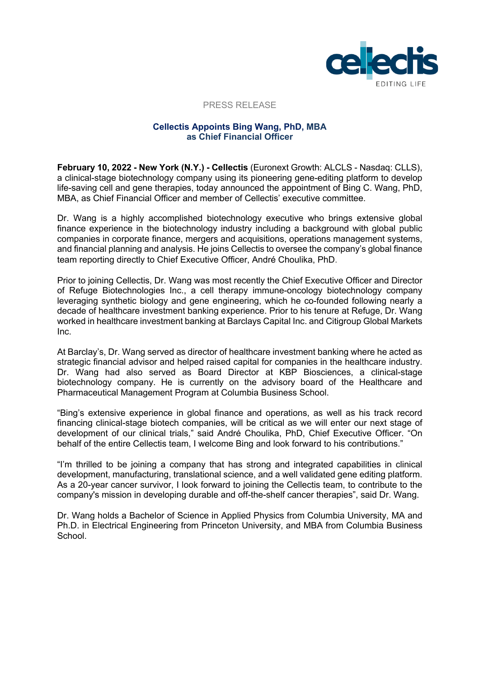

#### PRESS RELEASE

# **Cellectis Appoints Bing Wang, PhD, MBA as Chief Financial Officer**

**February 10, 2022 - New York (N.Y.) - Cellectis** (Euronext Growth: ALCLS - Nasdaq: CLLS), a clinical-stage biotechnology company using its pioneering gene-editing platform to develop life-saving cell and gene therapies, today announced the appointment of Bing C. Wang, PhD, MBA, as Chief Financial Officer and member of Cellectis' executive committee.

Dr. Wang is a highly accomplished biotechnology executive who brings extensive global finance experience in the biotechnology industry including a background with global public companies in corporate finance, mergers and acquisitions, operations management systems, and financial planning and analysis. He joins Cellectis to oversee the company's global finance team reporting directly to Chief Executive Officer, André Choulika, PhD.

Prior to joining Cellectis, Dr. Wang was most recently the Chief Executive Officer and Director of Refuge Biotechnologies Inc., a cell therapy immune-oncology biotechnology company leveraging synthetic biology and gene engineering, which he co-founded following nearly a decade of healthcare investment banking experience. Prior to his tenure at Refuge, Dr. Wang worked in healthcare investment banking at Barclays Capital Inc. and Citigroup Global Markets Inc.

At Barclay's, Dr. Wang served as director of healthcare investment banking where he acted as strategic financial advisor and helped raised capital for companies in the healthcare industry. Dr. Wang had also served as Board Director at KBP Biosciences, a clinical-stage biotechnology company. He is currently on the advisory board of the Healthcare and Pharmaceutical Management Program at Columbia Business School.

"Bing's extensive experience in global finance and operations, as well as his track record financing clinical-stage biotech companies, will be critical as we will enter our next stage of development of our clinical trials," said André Choulika, PhD, Chief Executive Officer. "On behalf of the entire Cellectis team, I welcome Bing and look forward to his contributions."

"I'm thrilled to be joining a company that has strong and integrated capabilities in clinical development, manufacturing, translational science, and a well validated gene editing platform. As a 20-year cancer survivor, I look forward to joining the Cellectis team, to contribute to the company's mission in developing durable and off-the-shelf cancer therapies", said Dr. Wang.

Dr. Wang holds a Bachelor of Science in Applied Physics from Columbia University, MA and Ph.D. in Electrical Engineering from Princeton University, and MBA from Columbia Business **School**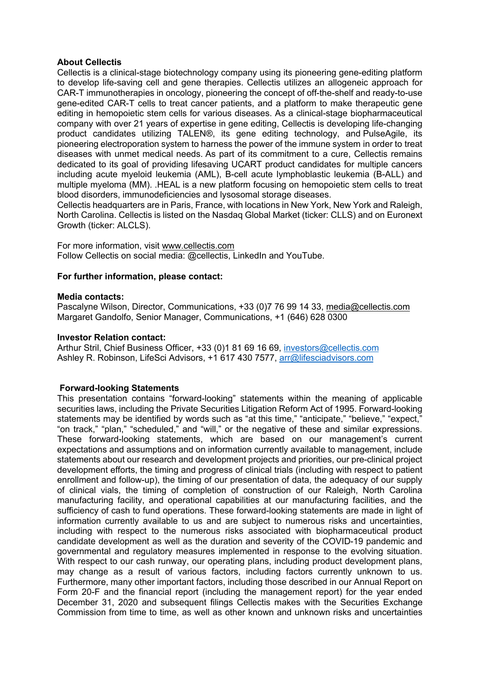# **About Cellectis**

Cellectis is a clinical-stage biotechnology company using its pioneering gene-editing platform to develop life-saving cell and gene therapies. Cellectis utilizes an allogeneic approach for CAR-T immunotherapies in oncology, pioneering the concept of off-the-shelf and ready-to-use gene-edited CAR-T cells to treat cancer patients, and a platform to make therapeutic gene editing in hemopoietic stem cells for various diseases. As a clinical-stage biopharmaceutical company with over 21 years of expertise in gene editing, Cellectis is developing life-changing product candidates utilizing TALEN®, its gene editing technology, and PulseAgile, its pioneering electroporation system to harness the power of the immune system in order to treat diseases with unmet medical needs. As part of its commitment to a cure, Cellectis remains dedicated to its goal of providing lifesaving UCART product candidates for multiple cancers including acute myeloid leukemia (AML), B-cell acute lymphoblastic leukemia (B-ALL) and multiple myeloma (MM). .HEAL is a new platform focusing on hemopoietic stem cells to treat blood disorders, immunodeficiencies and lysosomal storage diseases.

Cellectis headquarters are in Paris, France, with locations in New York, New York and Raleigh, North Carolina. Cellectis is listed on the Nasdaq Global Market (ticker: CLLS) and on Euronext Growth (ticker: ALCLS).

For more information, visit www.cellectis.com Follow Cellectis on social media: @cellectis, LinkedIn and YouTube.

# **For further information, please contact:**

# **Media contacts:**

Pascalyne Wilson, Director, Communications, +33 (0)7 76 99 14 33, media@cellectis.com Margaret Gandolfo, Senior Manager, Communications, +1 (646) 628 0300

#### **Investor Relation contact:**

Arthur Stril, Chief Business Officer, +33 (0)1 81 69 16 69, investors@cellectis.com Ashley R. Robinson, LifeSci Advisors, +1 617 430 7577, arr@lifesciadvisors.com

# **Forward-looking Statements**

This presentation contains "forward-looking" statements within the meaning of applicable securities laws, including the Private Securities Litigation Reform Act of 1995. Forward-looking statements may be identified by words such as "at this time," "anticipate," "believe," "expect," "on track," "plan," "scheduled," and "will," or the negative of these and similar expressions. These forward-looking statements, which are based on our management's current expectations and assumptions and on information currently available to management, include statements about our research and development projects and priorities, our pre-clinical project development efforts, the timing and progress of clinical trials (including with respect to patient enrollment and follow-up), the timing of our presentation of data, the adequacy of our supply of clinical vials, the timing of completion of construction of our Raleigh, North Carolina manufacturing facility, and operational capabilities at our manufacturing facilities, and the sufficiency of cash to fund operations. These forward-looking statements are made in light of information currently available to us and are subject to numerous risks and uncertainties, including with respect to the numerous risks associated with biopharmaceutical product candidate development as well as the duration and severity of the COVID-19 pandemic and governmental and regulatory measures implemented in response to the evolving situation. With respect to our cash runway, our operating plans, including product development plans, may change as a result of various factors, including factors currently unknown to us. Furthermore, many other important factors, including those described in our Annual Report on Form 20-F and the financial report (including the management report) for the year ended December 31, 2020 and subsequent filings Cellectis makes with the Securities Exchange Commission from time to time, as well as other known and unknown risks and uncertainties